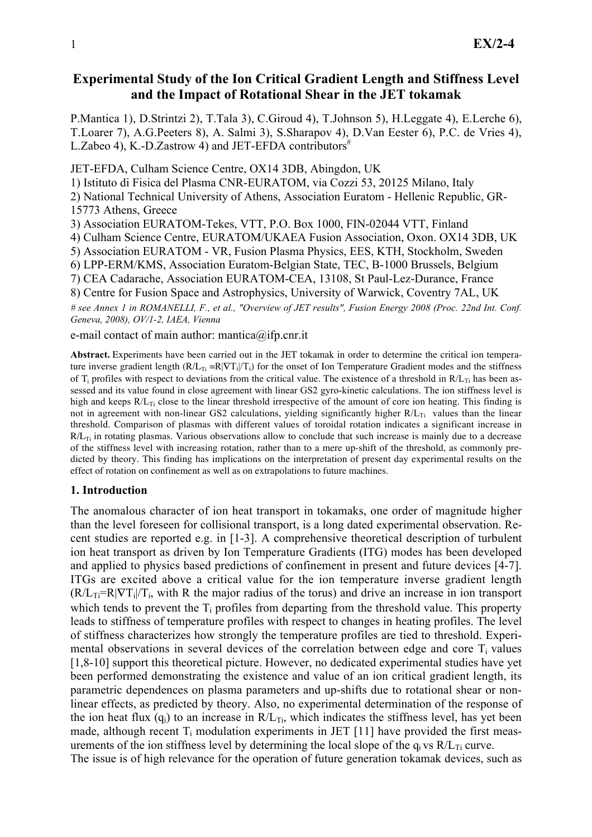# Experimental Study of the Ion Critical Gradient Length and Stiffness Level and the Impact of Rotational Shear in the JET tokamak

P.Mantica 1), D.Strintzi 2), T.Tala 3), C.Giroud 4), T.Johnson 5), H.Leggate 4), E.Lerche 6), T.Loarer 7), A.G.Peeters 8), A. Salmi 3), S.Sharapov 4), D.Van Eester 6), P.C. de Vries 4), L.Zabeo 4), K.-D.Zastrow 4) and JET-EFDA contributors<sup>#</sup>

JET-EFDA, Culham Science Centre, OX14 3DB, Abingdon, UK

1) Istituto di Fisica del Plasma CNR-EURATOM, via Cozzi 53, 20125 Milano, Italy

2) National Technical University of Athens, Association Euratom - Hellenic Republic, GR-15773 Athens, Greece

3) Association EURATOM-Tekes, VTT, P.O. Box 1000, FIN-02044 VTT, Finland

4) Culham Science Centre, EURATOM/UKAEA Fusion Association, Oxon. OX14 3DB, UK

5) Association EURATOM - VR, Fusion Plasma Physics, EES, KTH, Stockholm, Sweden

6) LPP-ERM/KMS, Association Euratom-Belgian State, TEC, B-1000 Brussels, Belgium

7) CEA Cadarache, Association EURATOM-CEA, 13108, St Paul-Lez-Durance, France

8) Centre for Fusion Space and Astrophysics, University of Warwick, Coventry 7AL, UK

# see Annex 1 in ROMANELLI, F., et al., "Overview of JET results", Fusion Energy 2008 (Proc. 22nd Int. Conf. Geneva, 2008), OV/1-2, IAEA, Vienna

e-mail contact of main author: mantica@ifp.cnr.it

Abstract. Experiments have been carried out in the JET tokamak in order to determine the critical ion temperature inverse gradient length  $(R/L_{Ti} = R|\nabla T_i|/T_i)$  for the onset of Ion Temperature Gradient modes and the stiffness of  $T_i$  profiles with respect to deviations from the critical value. The existence of a threshold in  $R/L_{Ti}$  has been assessed and its value found in close agreement with linear GS2 gyro-kinetic calculations. The ion stiffness level is high and keeps  $R/L_T$ ; close to the linear threshold irrespective of the amount of core ion heating. This finding is not in agreement with non-linear GS2 calculations, yielding significantly higher  $R/L_{Ti}$  values than the linear threshold. Comparison of plasmas with different values of toroidal rotation indicates a significant increase in  $R/L_{Ti}$  in rotating plasmas. Various observations allow to conclude that such increase is mainly due to a decrease of the stiffness level with increasing rotation, rather than to a mere up-shift of the threshold, as commonly predicted by theory. This finding has implications on the interpretation of present day experimental results on the effect of rotation on confinement as well as on extrapolations to future machines.

### 1. Introduction

The anomalous character of ion heat transport in tokamaks, one order of magnitude higher than the level foreseen for collisional transport, is a long dated experimental observation. Recent studies are reported e.g. in [1-3]. A comprehensive theoretical description of turbulent ion heat transport as driven by Ion Temperature Gradients (ITG) modes has been developed and applied to physics based predictions of confinement in present and future devices [4-7]. ITGs are excited above a critical value for the ion temperature inverse gradient length  $(R/L_T = R|\nabla T_i|/T_i$ , with R the major radius of the torus) and drive an increase in ion transport which tends to prevent the  $T_i$  profiles from departing from the threshold value. This property leads to stiffness of temperature profiles with respect to changes in heating profiles. The level of stiffness characterizes how strongly the temperature profiles are tied to threshold. Experimental observations in several devices of the correlation between edge and core  $T_i$  values [1,8-10] support this theoretical picture. However, no dedicated experimental studies have yet been performed demonstrating the existence and value of an ion critical gradient length, its parametric dependences on plasma parameters and up-shifts due to rotational shear or nonlinear effects, as predicted by theory. Also, no experimental determination of the response of the ion heat flux  $(q_i)$  to an increase in  $R/L_{Ti}$ , which indicates the stiffness level, has yet been made, although recent  $T_i$  modulation experiments in JET [11] have provided the first measurements of the ion stiffness level by determining the local slope of the  $q_i$  vs  $R/L_T$  curve. The issue is of high relevance for the operation of future generation tokamak devices, such as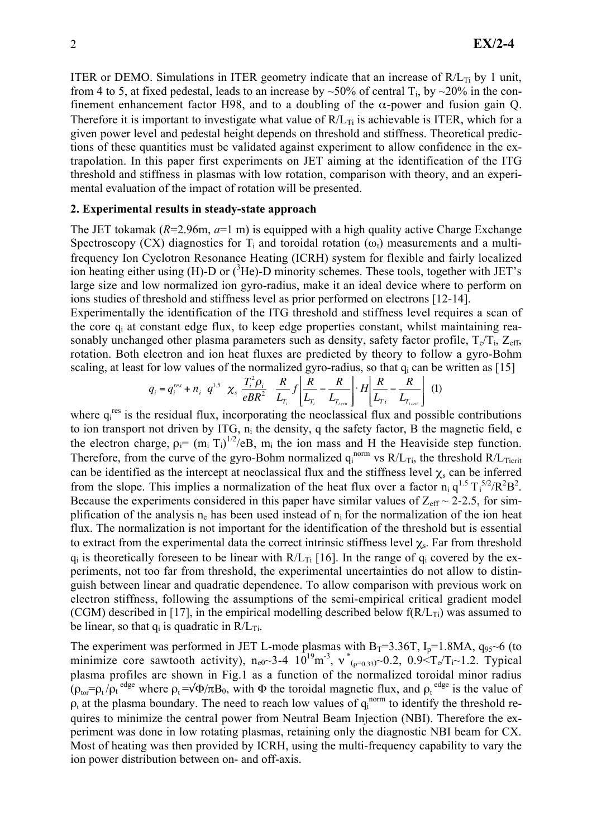ITER or DEMO. Simulations in ITER geometry indicate that an increase of  $R/L_{Ti}$  by 1 unit, from 4 to 5, at fixed pedestal, leads to an increase by ~50% of central  $T_i$ , by ~20% in the confinement enhancement factor H98, and to a doubling of the  $\alpha$ -power and fusion gain Q. Therefore it is important to investigate what value of  $R/L_{Ti}$  is achievable is ITER, which for a given power level and pedestal height depends on threshold and stiffness. Theoretical predictions of these quantities must be validated against experiment to allow confidence in the extrapolation. In this paper first experiments on JET aiming at the identification of the ITG threshold and stiffness in plasmas with low rotation, comparison with theory, and an experimental evaluation of the impact of rotation will be presented.

### 2. Experimental results in steady-state approach

The JET tokamak ( $R=2.96$ m,  $a=1$  m) is equipped with a high quality active Charge Exchange Spectroscopy (CX) diagnostics for  $T_i$  and toroidal rotation ( $\omega_t$ ) measurements and a multifrequency Ion Cyclotron Resonance Heating (ICRH) system for flexible and fairly localized ion heating either using (H)-D or  $(^{3}$ He)-D minority schemes. These tools, together with JET's large size and low normalized ion gyro-radius, make it an ideal device where to perform on ions studies of threshold and stiffness level as prior performed on electrons [12-14].

Experimentally the identification of the ITG threshold and stiffness level requires a scan of the core qi at constant edge flux, to keep edge properties constant, whilst maintaining reasonably unchanged other plasma parameters such as density, safety factor profile,  $T_e/T_i$ ,  $Z_{\text{eff}}$ , rotation. Both electron and ion heat fluxes are predicted by theory to follow a gyro-Bohm scaling, at least for low values of the normalized gyro-radius, so that  $q_i$  can be written as [15]

$$
q_{i} = q_{i}^{res} + n_{i} q^{1.5} \chi_{s} \frac{T_{i}^{2} \rho_{i}}{eBR^{2}} \frac{R}{L_{T_{i}}} f \left[ \frac{R}{L_{T_{i}}} - \frac{R}{L_{T_{i}}}\right] \cdot H \left[ \frac{R}{L_{T_{i}}} - \frac{R}{L_{T_{i}}}\right] (1)
$$

where  $q_i^{res}$  is the residual flux, incorporating the neoclassical flux and possible contributions to ion transport not driven by ITG, ni the density, q the safety factor, B the magnetic field, e the electron charge,  $\rho_i = (m_i T_i)^{1/2}/eB$ ,  $m_i$  the ion mass and H the Heaviside step function. Therefore, from the curve of the gyro-Bohm normalized  $q_i^{norm}$  vs  $R/L_{Ti}$ , the threshold  $R/L_{Ti}$ can be identified as the intercept at neoclassical flux and the stiffness level  $\chi$ <sub>s</sub> can be inferred from the slope. This implies a normalization of the heat flux over a factor  $n_i q^{1.5} T_i^{5/2} / R^2 B^2$ . Because the experiments considered in this paper have similar values of  $Z_{\text{eff}} \sim 2{\text -}2{\text -}5$ , for simplification of the analysis  $n_e$  has been used instead of  $n_i$  for the normalization of the ion heat flux. The normalization is not important for the identification of the threshold but is essential to extract from the experimental data the correct intrinsic stiffness level  $\chi_s$ . Far from threshold  $q_i$  is theoretically foreseen to be linear with  $R/L_{Ti}$  [16]. In the range of  $q_i$  covered by the experiments, not too far from threshold, the experimental uncertainties do not allow to distinguish between linear and quadratic dependence. To allow comparison with previous work on electron stiffness, following the assumptions of the semi-empirical critical gradient model (CGM) described in [17], in the empirical modelling described below  $f(R/L_T)$  was assumed to be linear, so that  $q_i$  is quadratic in  $R/L_{Ti}$ .

The experiment was performed in JET L-mode plasmas with  $B_T=3.36T$ ,  $I_p=1.8MA$ ,  $q_{95}$  of (to minimize core sawtooth activity),  $n_{e0}$  3-4  $10^{19}$ m<sup>-3</sup>,  $v^*_{(p=0.33)}$  0.2, 0.9  $T_e/T_i$  1.2. Typical plasma profiles are shown in Fig.1 as a function of the normalized toroidal minor radius  $(\rho_{\text{tor}} = \rho_t / \rho_t^{\text{edge}}$  where  $\rho_t = \sqrt{\Phi/\pi} B_0$ , with  $\Phi$  the toroidal magnetic flux, and  $\rho_t^{\text{edge}}$  is the value of  $\rho_t$  at the plasma boundary. The need to reach low values of  $q_i^{norm}$  to identify the threshold requires to minimize the central power from Neutral Beam Injection (NBI). Therefore the experiment was done in low rotating plasmas, retaining only the diagnostic NBI beam for CX. Most of heating was then provided by ICRH, using the multi-frequency capability to vary the ion power distribution between on- and off-axis.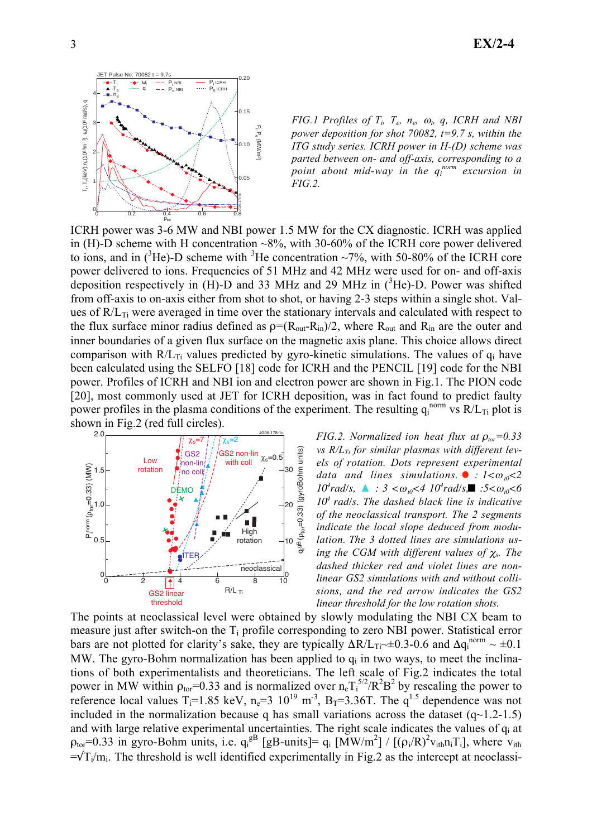

FIG.1 Profiles of  $T_i$ ,  $T_e$ ,  $n_e$ ,  $\omega_t$ ,  $q$ , ICRH and NBI power deposition for shot 70082,  $t=9.7$  s, within the ITG study series. ICRH power in H-(D) scheme was parted between on- and off-axis, corresponding to a point about mid-way in the quorm excursion in FIG.2.

ICRH power was 3-6 MW and NBI power 1.5 MW for the CX diagnostic. ICRH was applied in (H)-D scheme with H concentration  $\sim 8\%$ , with 30-60% of the ICRH core power delivered to ions, and in  $({}^{3}He)$ -D scheme with  ${}^{3}He$  concentration ~7%, with 50-80% of the ICRH core power delivered to ions. Frequencies of 51 MHz and 42 MHz were used for on- and off-axis deposition respectively in (H)-D and 33 MHz and 29 MHz in  $(^3He)$ -D. Power was shifted from off-axis to on-axis either from shot to shot, or having 2-3 steps within a single shot. Values of  $R/L_{Ti}$  were averaged in time over the stationary intervals and calculated with respect to the flux surface minor radius defined as  $p=(R_{out}-R_{in})/2$ , where  $R_{out}$  and  $R_{in}$  are the outer and inner boundaries of a given flux surface on the magnetic axis plane. This choice allows direct comparison with  $R/L_{Ti}$  values predicted by gyro-kinetic simulations. The values of  $q_i$  have been calculated using the SELFO [18] code for ICRH and the PENCIL [19] code for the NBI power. Profiles of ICRH and NBI ion and electron power are shown in Fig.1. The PION code [20], most commonly used at JET for ICRH deposition, was in fact found to predict faulty power profiles in the plasma conditions of the experiment. The resulting  $q_i^{norm}$  vs  $R/L_{Ti}$  plot is shown in Fig.2 (red full circles).



FIG.2. Normalized ion heat flux at  $\rho_{tor} = 0.33$ vs  $R/L_{Ti}$  for similar plasmas with different levels of rotation. Dots represent experimental data and lines simulations.  $\bullet$  :  $1 < \omega_{10} < 2$ *10<sup>4</sup>* $rad/s$ , **△** : 3 < $\omega_{t0}$ <4 *10<sup>4</sup>* $rad/s$ , ■ :5< $\omega_{t0}$ <6 *10<sup>4</sup>rad/s.* The dashed black line is indicative of the neoclassical transport. The 2 segments indicate the local slope deduced from modulation. The 3 dotted lines are simulations using the CGM with different values of  $\chi$ <sub>s</sub>. The dashed thicker red and violet lines are nonlinear GS2 simulations with and without collisions, and the red arrow indicates the GS2 linear threshold for the low rotation shots.

The points at neoclassical level were obtained by slowly modulating the NBI CX beam to measure just after switch-on the Ti profile corresponding to zero NBI power. Statistical error bars are not plotted for clarity's sake, they are typically  $\Delta R/L_{\text{Ti}} \sim \pm 0.3-0.6$  and  $\Delta q_i^{\text{norm}} \sim \pm 0.1$ MW. The gyro-Bohm normalization has been applied to  $q_i$  in two ways, to meet the inclinations of both experimentalists and theoreticians. The left scale of Fig.2 indicates the total power in MW within  $\rho_{\text{tor}}=0.33$  and is normalized over  $n_e T_i^{5/2}/R^2B^2$  by rescaling the power to reference local values T<sub>i</sub>=1.85 keV, n<sub>e</sub>=3 10<sup>19</sup> m<sup>-3</sup>, B<sub>T</sub>=3.36T. The q<sup>1.5</sup> dependence was not included in the normalization because q has small variations across the dataset  $(q~1.2~1.5)$ and with large relative experimental uncertainties. The right scale indicates the values of  $q_i$  at  $\rho_{\text{tor}}$ =0.33 in gyro-Bohm units, i.e.  $q_i^{g}$  [gB-units]=  $q_i$  [MW/m<sup>2</sup>] / [( $\rho_i/R$ )<sup>2</sup> $v_{ith}n_iT_i$ ], where  $v_{ith}$  $=\sqrt{T_i/m_i}$ . The threshold is well identified experimentally in Fig.2 as the intercept at neoclassi-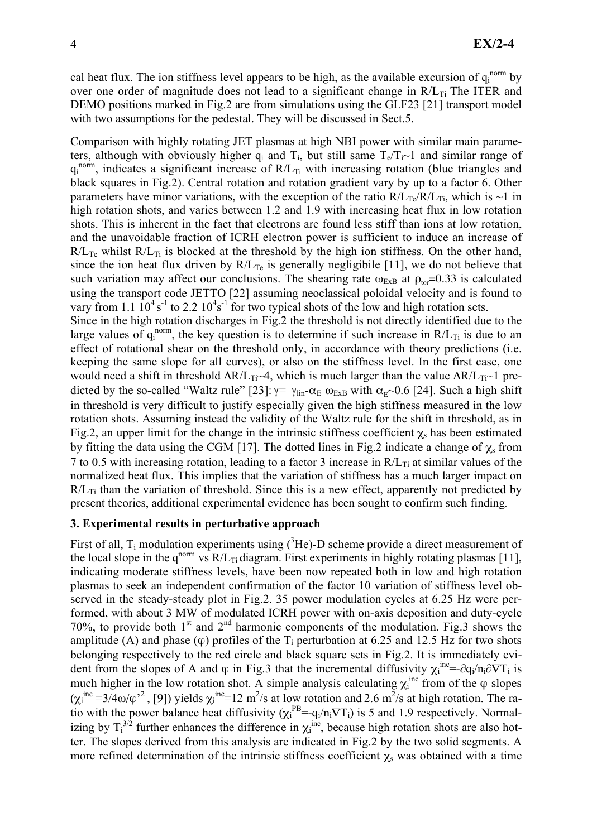cal heat flux. The ion stiffness level appears to be high, as the available excursion of  $q_i^{norm}$  by over one order of magnitude does not lead to a significant change in  $R/L_{Ti}$  The ITER and DEMO positions marked in Fig.2 are from simulations using the GLF23 [21] transport model with two assumptions for the pedestal. They will be discussed in Sect. 5.

Comparison with highly rotating JET plasmas at high NBI power with similar main parameters, although with obviously higher  $q_i$  and  $T_i$ , but still same  $T_e/T_i \sim 1$  and similar range of  $q_i^{norm}$ , indicates a significant increase of  $R/L_{Ti}$  with increasing rotation (blue triangles and black squares in Fig.2). Central rotation and rotation gradient vary by up to a factor 6. Other parameters have minor variations, with the exception of the ratio  $R/L_{Te}/R/L_{Ti}$ , which is ~1 in high rotation shots, and varies between 1.2 and 1.9 with increasing heat flux in low rotation shots. This is inherent in the fact that electrons are found less stiff than ions at low rotation, and the unavoidable fraction of ICRH electron power is sufficient to induce an increase of  $R/L_{Te}$  whilst  $R/L_{Ti}$  is blocked at the threshold by the high ion stiffness. On the other hand, since the ion heat flux driven by  $R/L_{Te}$  is generally negligibile [11], we do not believe that such variation may affect our conclusions. The shearing rate  $\omega_{ExB}$  at  $\rho_{tor}=0.33$  is calculated using the transport code JETTO [22] assuming neoclassical poloidal velocity and is found to vary from 1.1  $10^4$  s<sup>-1</sup> to 2.2  $10^4$ s<sup>-1</sup> for two typical shots of the low and high rotation sets.

Since in the high rotation discharges in Fig.2 the threshold is not directly identified due to the large values of  $q_i^{norm}$ , the key question is to determine if such increase in  $R/L_{Ti}$  is due to an effect of rotational shear on the threshold only, in accordance with theory predictions (i.e. keeping the same slope for all curves), or also on the stiffness level. In the first case, one would need a shift in threshold  $\Delta R/L_{Ti} \sim 4$ , which is much larger than the value  $\Delta R/L_{Ti} \sim 1$  predicted by the so-called "Waltz rule" [23]:  $\gamma = \gamma_{lin} - \alpha_E$   $\omega_{ExB}$  with  $\alpha_E \sim 0.6$  [24]. Such a high shift in threshold is very difficult to justify especially given the high stiffness measured in the low rotation shots. Assuming instead the validity of the Waltz rule for the shift in threshold, as in Fig.2, an upper limit for the change in the intrinsic stiffness coefficient  $\chi_s$  has been estimated by fitting the data using the CGM [17]. The dotted lines in Fig.2 indicate a change of  $\chi_s$  from 7 to 0.5 with increasing rotation, leading to a factor 3 increase in  $R/L_{Ti}$  at similar values of the normalized heat flux. This implies that the variation of stiffness has a much larger impact on  $R/L_{Ti}$  than the variation of threshold. Since this is a new effect, apparently not predicted by present theories, additional experimental evidence has been sought to confirm such finding.

### 3. Experimental results in perturbative approach

First of all,  $T_i$  modulation experiments using  $({}^3He)$ -D scheme provide a direct measurement of the local slope in the q<sup>norm</sup> vs  $R/L_T$  diagram. First experiments in highly rotating plasmas [11], indicating moderate stiffness levels, have been now repeated both in low and high rotation plasmas to seek an independent confirmation of the factor 10 variation of stiffness level observed in the steady-steady plot in Fig.2. 35 power modulation cycles at 6.25 Hz were performed, with about 3 MW of modulated ICRH power with on-axis deposition and duty-cycle 70%, to provide both  $1<sup>st</sup>$  and  $2<sup>nd</sup>$  harmonic components of the modulation. Fig.3 shows the amplitude (A) and phase ( $\varphi$ ) profiles of the T<sub>i</sub> perturbation at 6.25 and 12.5 Hz for two shots belonging respectively to the red circle and black square sets in Fig.2. It is immediately evident from the slopes of A and  $\varphi$  in Fig.3 that the incremental diffusivity  $\chi_i^{inc} = -\partial q_i/n_i \partial \nabla T_i$  is much higher in the low rotation shot. A simple analysis calculating  $\chi_i^{inc}$  from of the  $\varphi$  slopes  $(\chi_i^{inc} = 3/4\omega/\varphi^2)$ , [9]) yields  $\chi_i^{inc} = 12 \text{ m}^2/\text{s}$  at low rotation and 2.6 m<sup>2</sup>/s at high rotation. The ratio with the power balance heat diffusivity  $(\chi_i^{PB} = -q_i/n_iVT_i)$  is 5 and 1.9 respectively. Normalizing by  $T_i^{3/2}$  further enhances the difference in  $\chi_i^{inc}$ , because high rotation shots are also hotter. The slopes derived from this analysis are indicated in Fig.2 by the two solid segments. A more refined determination of the intrinsic stiffness coefficient  $\chi_s$  was obtained with a time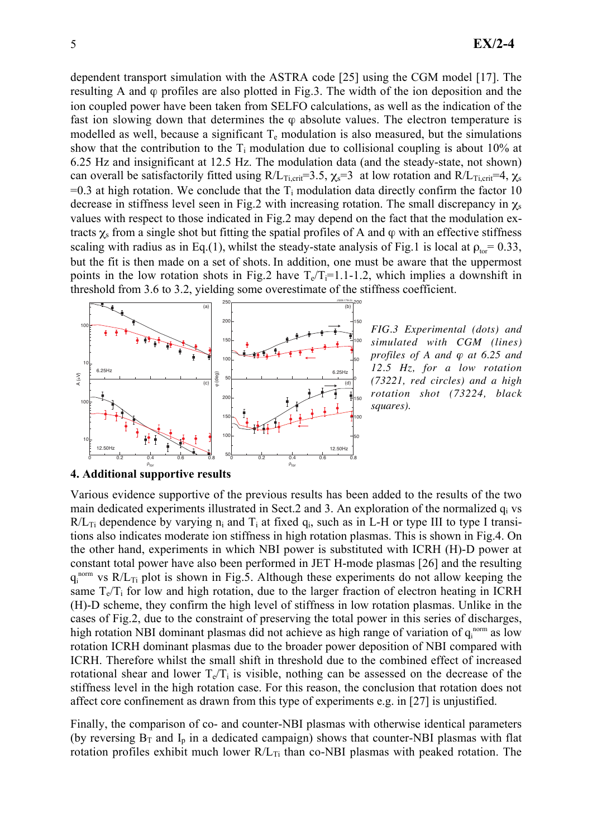dependent transport simulation with the ASTRA code [25] using the CGM model [17]. The resulting A and  $\varphi$  profiles are also plotted in Fig.3. The width of the ion deposition and the ion coupled power have been taken from SELFO calculations, as well as the indication of the fast ion slowing down that determines the  $\varphi$  absolute values. The electron temperature is modelled as well, because a significant  $T_e$  modulation is also measured, but the simulations show that the contribution to the  $T_i$  modulation due to collisional coupling is about 10% at 6.25 Hz and insignificant at 12.5 Hz. The modulation data (and the steady-state, not shown) can overall be satisfactorily fitted using  $R/L_{Ti, crit} = 3.5$ ,  $\chi_s = 3$  at low rotation and  $R/L_{Ti, crit} = 4$ ,  $\chi_s$  $=0.3$  at high rotation. We conclude that the T<sub>i</sub> modulation data directly confirm the factor 10 decrease in stiffness level seen in Fig.2 with increasing rotation. The small discrepancy in  $\chi_s$ values with respect to those indicated in Fig.2 may depend on the fact that the modulation extracts  $\chi$ <sub>s</sub> from a single shot but fitting the spatial profiles of A and  $\varphi$  with an effective stiffness scaling with radius as in Eq.(1), whilst the steady-state analysis of Fig.1 is local at  $\rho_{\text{tor}} = 0.33$ , but the fit is then made on a set of shots. In addition, one must be aware that the uppermost points in the low rotation shots in Fig.2 have  $T_e/T_i=1.1-1.2$ , which implies a downshift in threshold from 3.6 to 3.2, yielding some overestimate of the stiffness coefficient.



*FIG.3 Experimental (dots) and simulated with CGM (lines) profiles of A and*  $\varphi$  *at 6.25 and 12.5 Hz, for a low rotation (73221, red circles) and a high rotation shot (73224, black squares).*

#### 4. Additional supportive results

Various evidence supportive of the previous results has been added to the results of the two main dedicated experiments illustrated in Sect.2 and 3. An exploration of the normalized q<sub>i</sub> vs  $R/L_{Ti}$  dependence by varying  $n_i$  and  $T_i$  at fixed  $q_i$ , such as in L-H or type III to type I transitions also indicates moderate ion stiffness in high rotation plasmas. This is shown in Fig.4. On the other hand, experiments in which NBI power is substituted with ICRH (H)-D power at constant total power have also been performed in JET H-mode plasmas [26] and the resulting  $q_i^{norm}$  vs  $R/L_{Ti}$  plot is shown in Fig.5. Although these experiments do not allow keeping the same  $T_e/T_i$  for low and high rotation, due to the larger fraction of electron heating in ICRH (H)-D scheme, they confirm the high level of stiffness in low rotation plasmas. Unlike in the cases of Fig.2, due to the constraint of preserving the total power in this series of discharges, high rotation NBI dominant plasmas did not achieve as high range of variation of  $q_i^{norm}$  as low rotation ICRH dominant plasmas due to the broader power deposition of NBI compared with ICRH. Therefore whilst the small shift in threshold due to the combined effect of increased rotational shear and lower  $T_e/T_i$  is visible, nothing can be assessed on the decrease of the stiffness level in the high rotation case. For this reason, the conclusion that rotation does not affect core confinement as drawn from this type of experiments e.g. in [27] is unjustified.

Finally, the comparison of co- and counter-NBI plasmas with otherwise identical parameters (by reversing  $B_T$  and  $I_p$  in a dedicated campaign) shows that counter-NBI plasmas with flat rotation profiles exhibit much lower  $R/L_{Ti}$  than co-NBI plasmas with peaked rotation. The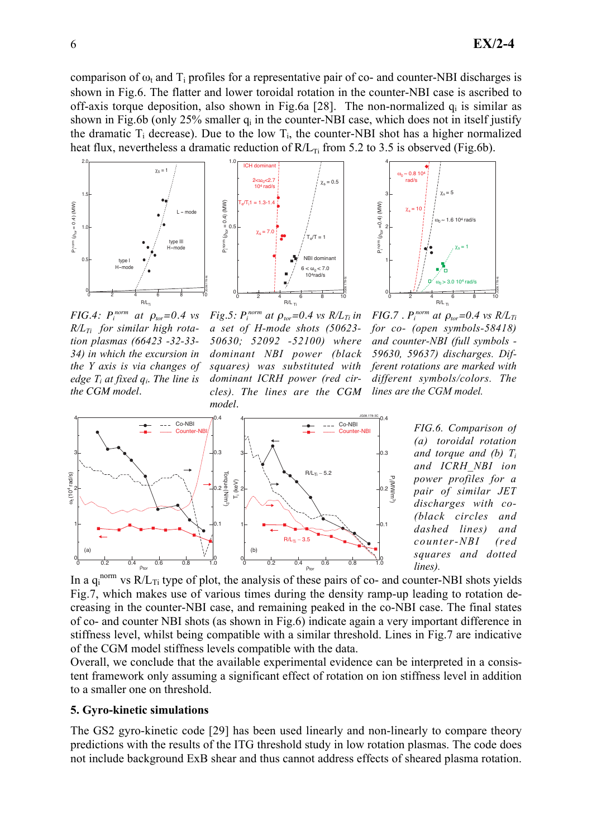comparison of  $\omega_t$  and T<sub>i</sub> profiles for a representative pair of co- and counter-NBI discharges is shown in Fig.6. The flatter and lower toroidal rotation in the counter-NBI case is ascribed to off-axis torque deposition, also shown in Fig.6a [28]. The non-normalized  $q_i$  is similar as shown in Fig.6b (only  $25\%$  smaller  $q_i$  in the counter-NBI case, which does not in itself justify the dramatic  $T_i$  decrease). Due to the low  $T_i$ , the counter-NBI shot has a higher normalized heat flux, nevertheless a dramatic reduction of  $R/L_{Ti}$  from 5.2 to 3.5 is observed (Fig.6b).



*FIG.4:*  $P_i^{norm}$  at  $\rho_{tor} = 0.4$  vs  $R/L_{Ti}$  for similar high rotation plasmas (66423 -32-33- 34) in which the excursion in the Y axis is via changes of edge T<sup>i</sup> at fixed q<sup>i</sup> *. The line is the CGM model.*



1.0

*Fig.5:*  $P_i^{norm}$  at  $\rho_{tor} = 0.4$  vs  $R/L_{Ti}$  in a set of H-mode shots (50623- 50630; 52092 -52100) where dominant NBI power (black squares) was substituted with dominant ICRH power (red circles). *The lines are the CGM model.*



*FIG.7* .  $P_i^{norm}$  at  $\rho_{tor} = 0.4$  vs  $R/L_{Ti}$ for co- (open symbols-58418) and counter-NBI (full symbols - 59630, 59637) discharges. Different rotations are marked with different symbols/colors. The lines are the CGM model.



FIG.6. Comparison of (a) toroidal rotation and torque and (b)  $T_i$ and ICRH\_NBI ion power profiles for a pair of similar JET discharges with co- (black circles and dashed lines) and counter-NBI (red squares and dotted lines).

In a  $q_i^{norm}$  vs  $R/L_T$ ; type of plot, the analysis of these pairs of co- and counter-NBI shots yields Fig.7, which makes use of various times during the density ramp-up leading to rotation decreasing in the counter-NBI case, and remaining peaked in the co-NBI case. The final states of co- and counter NBI shots (as shown in Fig.6) indicate again a very important difference in stiffness level, whilst being compatible with a similar threshold. Lines in Fig.7 are indicative of the CGM model stiffness levels compatible with the data.

Overall, we conclude that the available experimental evidence can be interpreted in a consistent framework only assuming a significant effect of rotation on ion stiffness level in addition to a smaller one on threshold.

#### 5. Gyro-kinetic simulations

The GS2 gyro-kinetic code [29] has been used linearly and non-linearly to compare theory predictions with the results of the ITG threshold study in low rotation plasmas. The code does not include background ExB shear and thus cannot address effects of sheared plasma rotation.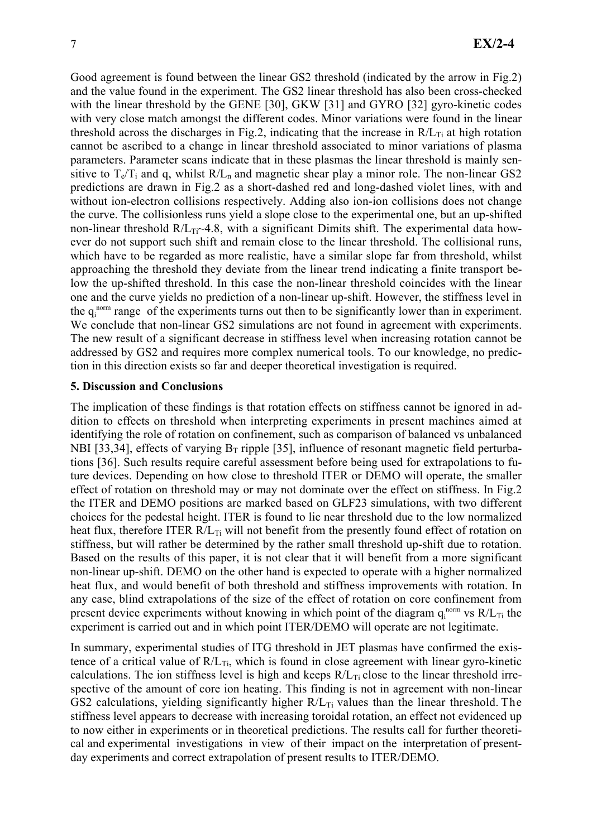Good agreement is found between the linear GS2 threshold (indicated by the arrow in Fig.2) and the value found in the experiment. The GS2 linear threshold has also been cross-checked with the linear threshold by the GENE [30], GKW [31] and GYRO [32] gyro-kinetic codes with very close match amongst the different codes. Minor variations were found in the linear threshold across the discharges in Fig.2, indicating that the increase in  $R/L_{Ti}$  at high rotation cannot be ascribed to a change in linear threshold associated to minor variations of plasma parameters. Parameter scans indicate that in these plasmas the linear threshold is mainly sensitive to  $T_e/T_i$  and q, whilst  $R/L_n$  and magnetic shear play a minor role. The non-linear GS2 predictions are drawn in Fig.2 as a short-dashed red and long-dashed violet lines, with and without ion-electron collisions respectively. Adding also ion-ion collisions does not change the curve. The collisionless runs yield a slope close to the experimental one, but an up-shifted non-linear threshold  $R/L_{Ti} \sim 4.8$ , with a significant Dimits shift. The experimental data however do not support such shift and remain close to the linear threshold. The collisional runs, which have to be regarded as more realistic, have a similar slope far from threshold, whilst approaching the threshold they deviate from the linear trend indicating a finite transport below the up-shifted threshold. In this case the non-linear threshold coincides with the linear one and the curve yields no prediction of a non-linear up-shift. However, the stiffness level in the  $q_i^{norm}$  range of the experiments turns out then to be significantly lower than in experiment. We conclude that non-linear GS2 simulations are not found in agreement with experiments. The new result of a significant decrease in stiffness level when increasing rotation cannot be addressed by GS2 and requires more complex numerical tools. To our knowledge, no prediction in this direction exists so far and deeper theoretical investigation is required.

### 5. Discussion and Conclusions

The implication of these findings is that rotation effects on stiffness cannot be ignored in addition to effects on threshold when interpreting experiments in present machines aimed at identifying the role of rotation on confinement, such as comparison of balanced vs unbalanced NBI [33,34], effects of varying  $B_T$  ripple [35], influence of resonant magnetic field perturbations [36]. Such results require careful assessment before being used for extrapolations to future devices. Depending on how close to threshold ITER or DEMO will operate, the smaller effect of rotation on threshold may or may not dominate over the effect on stiffness. In Fig.2 the ITER and DEMO positions are marked based on GLF23 simulations, with two different choices for the pedestal height. ITER is found to lie near threshold due to the low normalized heat flux, therefore ITER  $R/L_{Ti}$  will not benefit from the presently found effect of rotation on stiffness, but will rather be determined by the rather small threshold up-shift due to rotation. Based on the results of this paper, it is not clear that it will benefit from a more significant non-linear up-shift. DEMO on the other hand is expected to operate with a higher normalized heat flux, and would benefit of both threshold and stiffness improvements with rotation. In any case, blind extrapolations of the size of the effect of rotation on core confinement from present device experiments without knowing in which point of the diagram  $q_i^{norm}$  vs  $R/L_{Ti}$  the experiment is carried out and in which point ITER/DEMO will operate are not legitimate.

In summary, experimental studies of ITG threshold in JET plasmas have confirmed the existence of a critical value of  $R/L_{Ti}$ , which is found in close agreement with linear gyro-kinetic calculations. The ion stiffness level is high and keeps  $R/L_{Ti}$  close to the linear threshold irrespective of the amount of core ion heating. This finding is not in agreement with non-linear GS2 calculations, yielding significantly higher  $R/L_{Ti}$  values than the linear threshold. The stiffness level appears to decrease with increasing toroidal rotation, an effect not evidenced up to now either in experiments or in theoretical predictions. The results call for further theoretical and experimental investigations in view of their impact on the interpretation of presentday experiments and correct extrapolation of present results to ITER/DEMO.